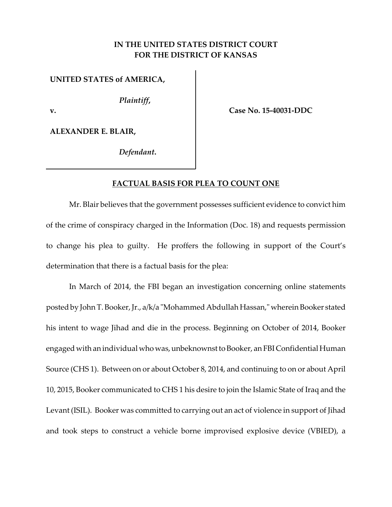## **IN THE UNITED STATES DISTRICT COURT FOR THE DISTRICT OF KANSAS**

## **UNITED STATES of AMERICA,**

*Plaintiff***,**

**v.**

**Case No. 15‐40031‐DDC**

**ALEXANDER E. BLAIR,**

*Defendant***.**

## **FACTUAL BASIS FOR PLEA TO COUNT ONE**

Mr. Blair believes that the government possesses sufficient evidence to convict him of the crime of conspiracy charged in the Information (Doc. 18) and requests permission to change his plea to guilty. He proffers the following in support of the Court's determination that there is a factual basis for the plea:

In March of 2014, the FBI began an investigation concerning online statements posted by John T. Booker, Jr., a/k/a "Mohammed Abdullah Hassan," wherein Booker stated his intent to wage Jihad and die in the process. Beginning on October of 2014, Booker engaged with an individual who was, unbeknownst to Booker, an FBI Confidential Human Source (CHS 1). Between on or about October 8, 2014, and continuing to on or about April 10, 2015, Booker communicated to CHS 1 his desire to join the Islamic State of Iraq and the Levant (ISIL). Booker was committed to carrying out an act of violence in support of Jihad and took steps to construct a vehicle borne improvised explosive device (VBIED), a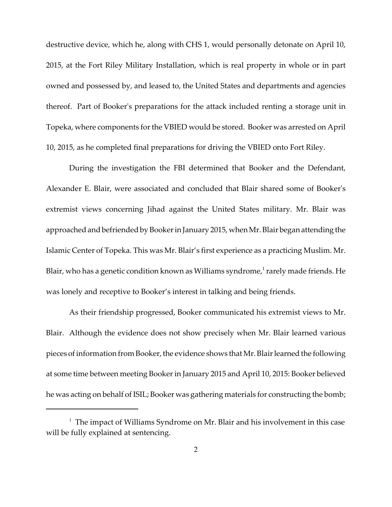destructive device, which he, along with CHS 1, would personally detonate on April 10, 2015, at the Fort Riley Military Installation, which is real property in whole or in part owned and possessed by, and leased to, the United States and departments and agencies thereof. Part of Bookerʹs preparations for the attack included renting a storage unit in Topeka, where components for the VBIED would be stored. Booker was arrested on April 10, 2015, as he completed final preparations for driving the VBIED onto Fort Riley.

During the investigation the FBI determined that Booker and the Defendant, Alexander E. Blair, were associated and concluded that Blair shared some of Bookerʹs extremist views concerning Jihad against the United States military. Mr. Blair was approached and befriended by Booker in January 2015, when Mr. Blair began attending the Islamic Center of Topeka. This was Mr. Blair's first experience as a practicing Muslim. Mr. Blair, who has a genetic condition known as Williams syndrome, $1$  rarely made friends. He was lonely and receptive to Booker's interest in talking and being friends.

As their friendship progressed, Booker communicated his extremist views to Mr. Blair. Although the evidence does not show precisely when Mr. Blair learned various pieces of information from Booker, the evidence shows that Mr. Blair learned the following at some time between meeting Bookerin January 2015 and April 10, 2015: Booker believed he was acting on behalf of ISIL; Booker was gathering materials for constructing the bomb;

<sup>&</sup>lt;sup>1</sup> The impact of Williams Syndrome on Mr. Blair and his involvement in this case will be fully explained at sentencing.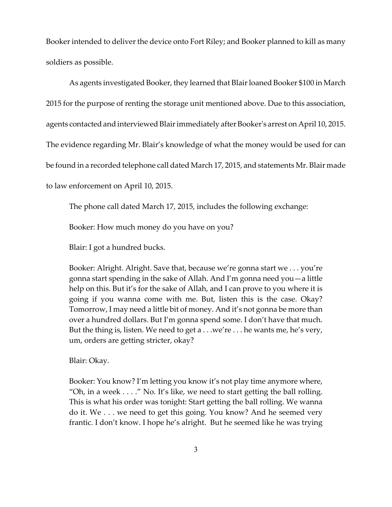Booker intended to deliver the device onto Fort Riley; and Booker planned to kill as many soldiers as possible.

As agents investigated Booker, they learned that Blairloaned Booker \$100 in March 2015 for the purpose of renting the storage unit mentioned above. Due to this association, agents contacted and interviewed Blairimmediately after Bookerʹs arrest on April 10, 2015. The evidence regarding Mr. Blair's knowledge of what the money would be used for can be found in a recorded telephone call dated March 17, 2015, and statements Mr. Blair made to law enforcement on April 10, 2015.

The phone call dated March 17, 2015, includes the following exchange:

Booker: How much money do you have on you?

Blair: I got a hundred bucks.

Booker: Alright. Alright. Save that, because we're gonna start we . . . you're gonna start spending in the sake of Allah. And I'm gonna need you—a little help on this. But it's for the sake of Allah, and I can prove to you where it is going if you wanna come with me. But, listen this is the case. Okay? Tomorrow, I may need a little bit of money. And it's not gonna be more than over a hundred dollars. But I'm gonna spend some. I don't have that much. But the thing is, listen. We need to get a . . .we're . . . he wants me, he's very, um, orders are getting stricter, okay?

Blair: Okay.

Booker: You know? I'm letting you know it's not play time anymore where, "Oh, in a week  $\dots$ ." No. It's like, we need to start getting the ball rolling. This is what his order was tonight: Start getting the ball rolling. We wanna do it. We . . . we need to get this going. You know? And he seemed very frantic. I don't know. I hope he's alright. But he seemed like he was trying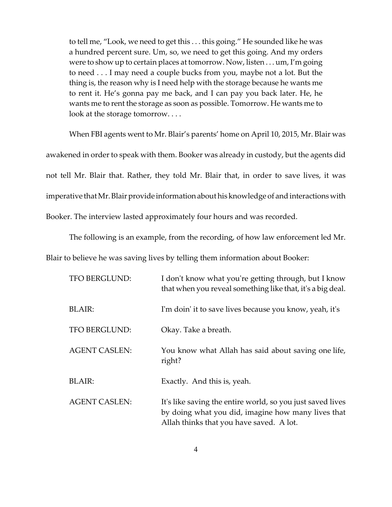to tell me, "Look, we need to get this . . . this going." He sounded like he was a hundred percent sure. Um, so, we need to get this going. And my orders were to show up to certain places at tomorrow. Now, listen . . . um, I'm going to need . . . I may need a couple bucks from you, maybe not a lot. But the thing is, the reason why is I need help with the storage because he wants me to rent it. He's gonna pay me back, and I can pay you back later. He, he wants me to rent the storage as soon as possible. Tomorrow. He wants me to look at the storage tomorrow....

When FBI agents went to Mr. Blair's parents' home on April 10, 2015, Mr. Blair was awakened in order to speak with them. Booker was already in custody, but the agents did not tell Mr. Blair that. Rather, they told Mr. Blair that, in order to save lives, it was imperative that Mr. Blair provide information about his knowledge of and interactions with Booker. The interview lasted approximately four hours and was recorded.

The following is an example, from the recording, of how law enforcement led Mr.

Blair to believe he was saving lives by telling them information about Booker:

| TFO BERGLUND:        | I don't know what you're getting through, but I know<br>that when you reveal something like that, it's a big deal.                                           |
|----------------------|--------------------------------------------------------------------------------------------------------------------------------------------------------------|
| <b>BLAIR:</b>        | I'm doin' it to save lives because you know, yeah, it's                                                                                                      |
| TFO BERGLUND:        | Okay. Take a breath.                                                                                                                                         |
| <b>AGENT CASLEN:</b> | You know what Allah has said about saving one life,<br>right?                                                                                                |
| <b>BLAIR:</b>        | Exactly. And this is, yeah.                                                                                                                                  |
| <b>AGENT CASLEN:</b> | It's like saving the entire world, so you just saved lives<br>by doing what you did, imagine how many lives that<br>Allah thinks that you have saved. A lot. |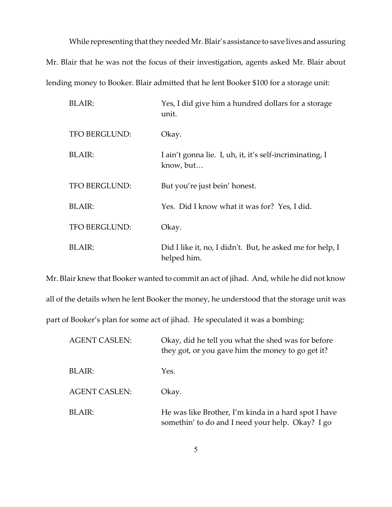While representing that they needed Mr. Blair's assistance to save lives and assuring Mr. Blair that he was not the focus of their investigation, agents asked Mr. Blair about lending money to Booker. Blair admitted that he lent Booker \$100 for a storage unit:

| BLAIR:               | Yes, I did give him a hundred dollars for a storage<br>unit.             |
|----------------------|--------------------------------------------------------------------------|
| TFO BERGLUND:        | Okay.                                                                    |
| <b>BLAIR:</b>        | I ain't gonna lie. I, uh, it, it's self-incriminating, I<br>know, but    |
| <b>TFO BERGLUND:</b> | But you're just bein' honest.                                            |
| <b>BLAIR:</b>        | Yes. Did I know what it was for? Yes, I did.                             |
| <b>TFO BERGLUND:</b> | Okay.                                                                    |
| <b>BLAIR:</b>        | Did I like it, no, I didn't. But, he asked me for help, I<br>helped him. |

Mr. Blair knew that Booker wanted to commit an act of jihad. And, while he did not know all of the details when he lent Booker the money, he understood that the storage unit was part of Booker's plan for some act of jihad. He speculated it was a bombing:

| <b>AGENT CASLEN:</b> | Okay, did he tell you what the shed was for before<br>they got, or you gave him the money to go get it?  |
|----------------------|----------------------------------------------------------------------------------------------------------|
| <b>BLAIR:</b>        | Yes.                                                                                                     |
| <b>AGENT CASLEN:</b> | Okay.                                                                                                    |
| BLAIR:               | He was like Brother, I'm kinda in a hard spot I have<br>somethin' to do and I need your help. Okay? I go |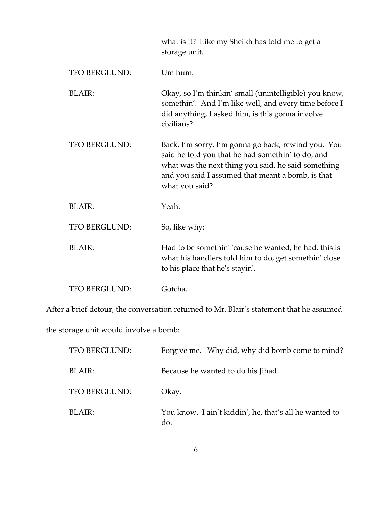|                      | what is it? Like my Sheikh has told me to get a<br>storage unit.                                                                                                                                                                       |
|----------------------|----------------------------------------------------------------------------------------------------------------------------------------------------------------------------------------------------------------------------------------|
| TFO BERGLUND:        | Um hum.                                                                                                                                                                                                                                |
| BLAIR:               | Okay, so I'm thinkin' small (unintelligible) you know,<br>somethin'. And I'm like well, and every time before I<br>did anything, I asked him, is this gonna involve<br>civilians?                                                      |
| <b>TFO BERGLUND:</b> | Back, I'm sorry, I'm gonna go back, rewind you. You<br>said he told you that he had somethin' to do, and<br>what was the next thing you said, he said something<br>and you said I assumed that meant a bomb, is that<br>what you said? |
| <b>BLAIR:</b>        | Yeah.                                                                                                                                                                                                                                  |
| <b>TFO BERGLUND:</b> | So, like why:                                                                                                                                                                                                                          |
| <b>BLAIR:</b>        | Had to be somethin' 'cause he wanted, he had, this is<br>what his handlers told him to do, get somethin' close<br>to his place that he's stayin'.                                                                                      |
| <b>TFO BERGLUND:</b> | Gotcha.                                                                                                                                                                                                                                |

After a brief detour, the conversation returned to Mr. Blair's statement that he assumed

the storage unit would involve a bomb:

| <b>TFO BERGLUND:</b> | Forgive me. Why did, why did bomb come to mind?               |
|----------------------|---------------------------------------------------------------|
| <b>BLAIR:</b>        | Because he wanted to do his Jihad.                            |
| TFO BERGLUND:        | Okay.                                                         |
| <b>BLAIR:</b>        | You know. I ain't kiddin', he, that's all he wanted to<br>do. |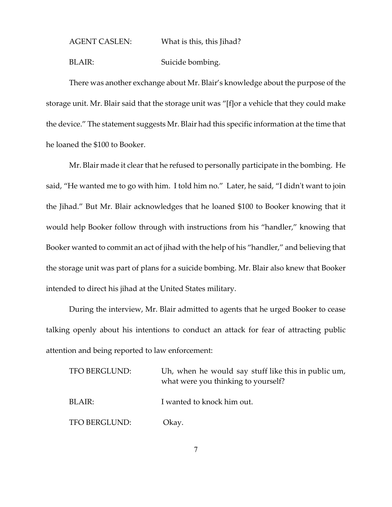AGENT CASLEN: What is this, this Jihad? BLAIR: Suicide bombing.

There was another exchange about Mr. Blair's knowledge about the purpose of the storage unit. Mr. Blair said that the storage unit was "[f]or a vehicle that they could make the device." The statement suggests Mr. Blair had this specific information at the time that he loaned the \$100 to Booker.

Mr. Blair made it clear that he refused to personally participate in the bombing. He said, "He wanted me to go with him. I told him no." Later, he said, "I didn't want to join the Jihad." But Mr. Blair acknowledges that he loaned \$100 to Booker knowing that it would help Booker follow through with instructions from his "handler," knowing that Booker wanted to commit an act of jihad with the help of his "handler," and believing that the storage unit was part of plans for a suicide bombing. Mr. Blair also knew that Booker intended to direct his jihad at the United States military.

During the interview, Mr. Blair admitted to agents that he urged Booker to cease talking openly about his intentions to conduct an attack for fear of attracting public attention and being reported to law enforcement:

| TFO BERGLUND: | Uh, when he would say stuff like this in public um,<br>what were you thinking to yourself? |
|---------------|--------------------------------------------------------------------------------------------|
| BLAIR:        | I wanted to knock him out.                                                                 |
| TFO BERGLUND: | Okay.                                                                                      |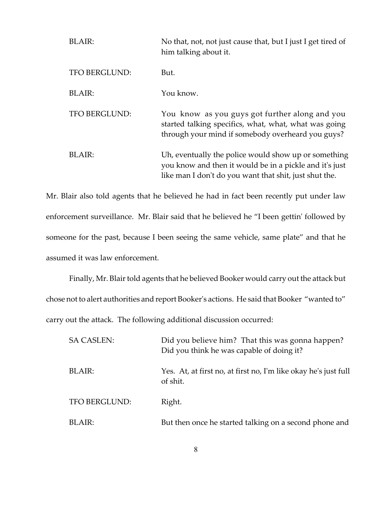| <b>BLAIR:</b>        | No that, not, not just cause that, but I just I get tired of<br>him talking about it.                                                                                     |
|----------------------|---------------------------------------------------------------------------------------------------------------------------------------------------------------------------|
| TFO BERGLUND:        | But.                                                                                                                                                                      |
| <b>BLAIR:</b>        | You know.                                                                                                                                                                 |
| <b>TFO BERGLUND:</b> | You know as you guys got further along and you<br>started talking specifics, what, what, what was going<br>through your mind if somebody overheard you guys?              |
| <b>BLAIR:</b>        | Uh, eventually the police would show up or something<br>you know and then it would be in a pickle and it's just<br>like man I don't do you want that shit, just shut the. |

Mr. Blair also told agents that he believed he had in fact been recently put under law enforcement surveillance. Mr. Blair said that he believed he "I been gettin' followed by someone for the past, because I been seeing the same vehicle, same plate" and that he assumed it was law enforcement.

Finally, Mr. Blair told agents that he believed Booker would carry out the attack but chose not to alert authorities and report Bookerʹs actions. He said that Booker "wanted to" carry out the attack. The following additional discussion occurred:

| <b>SA CASLEN:</b> | Did you believe him? That this was gonna happen?<br>Did you think he was capable of doing it? |
|-------------------|-----------------------------------------------------------------------------------------------|
| <b>BLAIR:</b>     | Yes. At, at first no, at first no, I'm like okay he's just full<br>of shit.                   |
| TFO BERGLUND:     | Right.                                                                                        |
| <b>BLAIR:</b>     | But then once he started talking on a second phone and                                        |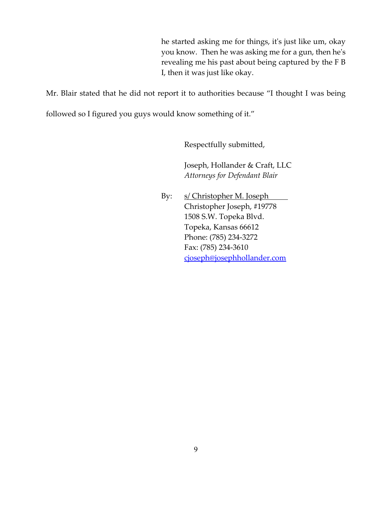he started asking me for things, itʹs just like um, okay you know. Then he was asking me for a gun, then heʹs revealing me his past about being captured by the F B I, then it was just like okay.

Mr. Blair stated that he did not report it to authorities because "I thought I was being

followed so I figured you guys would know something of it."

Respectfully submitted,

Joseph, Hollander & Craft, LLC *Attorneys for Defendant Blair*

By: s/ Christopher M. Joseph Christopher Joseph, #19778 1508 S.W. Topeka Blvd. Topeka, Kansas 66612 Phone: (785) 234‐3272 Fax: (785) 234‐3610 cjoseph@josephhollander.com